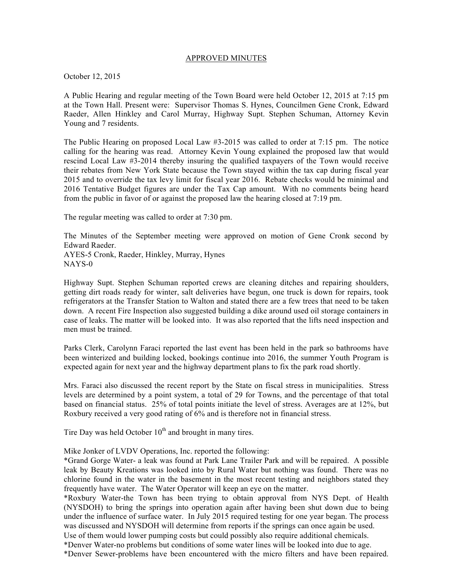## APPROVED MINUTES

October 12, 2015

A Public Hearing and regular meeting of the Town Board were held October 12, 2015 at 7:15 pm at the Town Hall. Present were: Supervisor Thomas S. Hynes, Councilmen Gene Cronk, Edward Raeder, Allen Hinkley and Carol Murray, Highway Supt. Stephen Schuman, Attorney Kevin Young and 7 residents.

The Public Hearing on proposed Local Law #3-2015 was called to order at 7:15 pm. The notice calling for the hearing was read. Attorney Kevin Young explained the proposed law that would rescind Local Law #3-2014 thereby insuring the qualified taxpayers of the Town would receive their rebates from New York State because the Town stayed within the tax cap during fiscal year 2015 and to override the tax levy limit for fiscal year 2016. Rebate checks would be minimal and 2016 Tentative Budget figures are under the Tax Cap amount. With no comments being heard from the public in favor of or against the proposed law the hearing closed at 7:19 pm.

The regular meeting was called to order at 7:30 pm.

The Minutes of the September meeting were approved on motion of Gene Cronk second by Edward Raeder. AYES-5 Cronk, Raeder, Hinkley, Murray, Hynes NAYS-0

Highway Supt. Stephen Schuman reported crews are cleaning ditches and repairing shoulders, getting dirt roads ready for winter, salt deliveries have begun, one truck is down for repairs, took refrigerators at the Transfer Station to Walton and stated there are a few trees that need to be taken down. A recent Fire Inspection also suggested building a dike around used oil storage containers in case of leaks. The matter will be looked into. It was also reported that the lifts need inspection and men must be trained.

Parks Clerk, Carolynn Faraci reported the last event has been held in the park so bathrooms have been winterized and building locked, bookings continue into 2016, the summer Youth Program is expected again for next year and the highway department plans to fix the park road shortly.

Mrs. Faraci also discussed the recent report by the State on fiscal stress in municipalities. Stress levels are determined by a point system, a total of 29 for Towns, and the percentage of that total based on financial status. 25% of total points initiate the level of stress. Averages are at 12%, but Roxbury received a very good rating of 6% and is therefore not in financial stress.

Tire Day was held October  $10<sup>th</sup>$  and brought in many tires.

Mike Jonker of LVDV Operations, Inc. reported the following:

\*Grand Gorge Water- a leak was found at Park Lane Trailer Park and will be repaired. A possible leak by Beauty Kreations was looked into by Rural Water but nothing was found. There was no chlorine found in the water in the basement in the most recent testing and neighbors stated they frequently have water. The Water Operator will keep an eye on the matter.

\*Roxbury Water-the Town has been trying to obtain approval from NYS Dept. of Health (NYSDOH) to bring the springs into operation again after having been shut down due to being under the influence of surface water. In July 2015 required testing for one year began. The process was discussed and NYSDOH will determine from reports if the springs can once again be used.

Use of them would lower pumping costs but could possibly also require additional chemicals. \*Denver Water-no problems but conditions of some water lines will be looked into due to age.

\*Denver Sewer-problems have been encountered with the micro filters and have been repaired.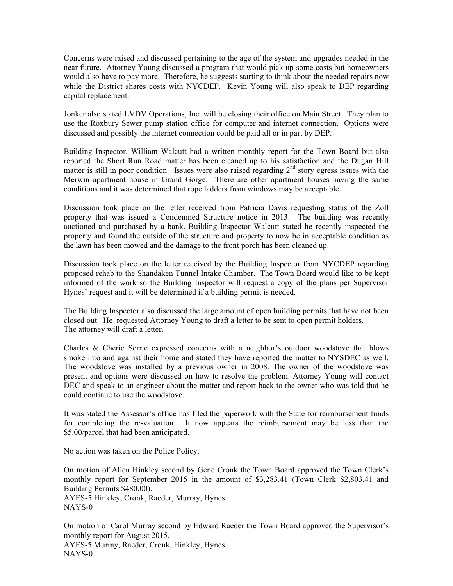Concerns were raised and discussed pertaining to the age of the system and upgrades needed in the near future. Attorney Young discussed a program that would pick up some costs but homeowners would also have to pay more. Therefore, he suggests starting to think about the needed repairs now while the District shares costs with NYCDEP. Kevin Young will also speak to DEP regarding capital replacement.

Jonker also stated LVDV Operations, Inc. will be closing their office on Main Street. They plan to use the Roxbury Sewer pump station office for computer and internet connection. Options were discussed and possibly the internet connection could be paid all or in part by DEP.

Building Inspector, William Walcutt had a written monthly report for the Town Board but also reported the Short Run Road matter has been cleaned up to his satisfaction and the Dugan Hill matter is still in poor condition. Issues were also raised regarding  $2<sup>nd</sup>$  story egress issues with the Merwin apartment house in Grand Gorge. There are other apartment houses having the same conditions and it was determined that rope ladders from windows may be acceptable.

Discussion took place on the letter received from Patricia Davis requesting status of the Zoll property that was issued a Condemned Structure notice in 2013. The building was recently auctioned and purchased by a bank. Building Inspector Walcutt stated he recently inspected the property and found the outside of the structure and property to now be in acceptable condition as the lawn has been mowed and the damage to the front porch has been cleaned up.

Discussion took place on the letter received by the Building Inspector from NYCDEP regarding proposed rehab to the Shandaken Tunnel Intake Chamber. The Town Board would like to be kept informed of the work so the Building Inspector will request a copy of the plans per Supervisor Hynes' request and it will be determined if a building permit is needed.

The Building Inspector also discussed the large amount of open building permits that have not been closed out. He requested Attorney Young to draft a letter to be sent to open permit holders. The attorney will draft a letter.

Charles & Cherie Serrie expressed concerns with a neighbor's outdoor woodstove that blows smoke into and against their home and stated they have reported the matter to NYSDEC as well. The woodstove was installed by a previous owner in 2008. The owner of the woodstove was present and options were discussed on how to resolve the problem. Attorney Young will contact DEC and speak to an engineer about the matter and report back to the owner who was told that he could continue to use the woodstove.

It was stated the Assessor's office has filed the paperwork with the State for reimbursement funds for completing the re-valuation. It now appears the reimbursement may be less than the \$5.00/parcel that had been anticipated.

No action was taken on the Police Policy.

On motion of Allen Hinkley second by Gene Cronk the Town Board approved the Town Clerk's monthly report for September 2015 in the amount of \$3,283.41 (Town Clerk \$2,803.41 and Building Permits \$480.00). AYES-5 Hinkley, Cronk, Raeder, Murray, Hynes NAYS-0

On motion of Carol Murray second by Edward Raeder the Town Board approved the Supervisor's monthly report for August 2015. AYES-5 Murray, Raeder, Cronk, Hinkley, Hynes NAYS-0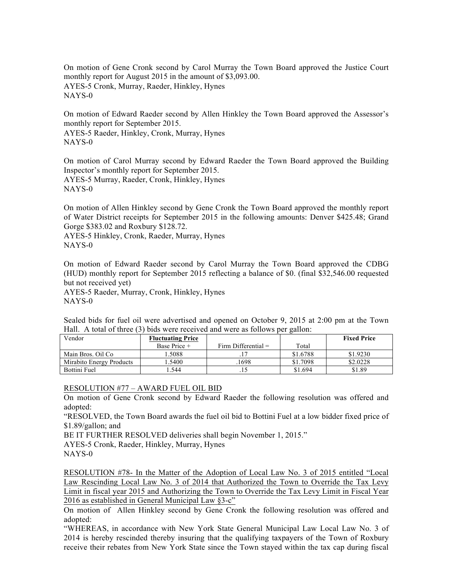On motion of Gene Cronk second by Carol Murray the Town Board approved the Justice Court monthly report for August 2015 in the amount of \$3,093.00. AYES-5 Cronk, Murray, Raeder, Hinkley, Hynes NAYS-0

On motion of Edward Raeder second by Allen Hinkley the Town Board approved the Assessor's monthly report for September 2015.

AYES-5 Raeder, Hinkley, Cronk, Murray, Hynes NAYS-0

On motion of Carol Murray second by Edward Raeder the Town Board approved the Building Inspector's monthly report for September 2015. AYES-5 Murray, Raeder, Cronk, Hinkley, Hynes NAYS-0

On motion of Allen Hinkley second by Gene Cronk the Town Board approved the monthly report of Water District receipts for September 2015 in the following amounts: Denver \$425.48; Grand Gorge \$383.02 and Roxbury \$128.72.

AYES-5 Hinkley, Cronk, Raeder, Murray, Hynes NAYS-0

On motion of Edward Raeder second by Carol Murray the Town Board approved the CDBG (HUD) monthly report for September 2015 reflecting a balance of \$0. (final \$32,546.00 requested but not received yet)

AYES-5 Raeder, Murray, Cronk, Hinkley, Hynes NAYS-0

Sealed bids for fuel oil were advertised and opened on October 9, 2015 at 2:00 pm at the Town Hall. A total of three (3) bids were received and were as follows per gallon:

| Vendor                   | <b>Fluctuating Price</b> |                       |          | <b>Fixed Price</b> |
|--------------------------|--------------------------|-----------------------|----------|--------------------|
|                          | Base Price +             | Firm Differential $=$ | Total    |                    |
| Main Bros. Oil Co        | .5088                    |                       | \$1.6788 | \$1.9230           |
| Mirabito Energy Products | .5400                    | .1698                 | \$1.7098 | \$2,0228           |
| <b>Bottini Fuel</b>      | .544                     |                       | \$1.694  | \$1.89             |

## RESOLUTION #77 – AWARD FUEL OIL BID

On motion of Gene Cronk second by Edward Raeder the following resolution was offered and adopted:

"RESOLVED, the Town Board awards the fuel oil bid to Bottini Fuel at a low bidder fixed price of \$1.89/gallon; and

BE IT FURTHER RESOLVED deliveries shall begin November 1, 2015."

AYES-5 Cronk, Raeder, Hinkley, Murray, Hynes

NAYS-0

RESOLUTION #78- In the Matter of the Adoption of Local Law No. 3 of 2015 entitled "Local Law Rescinding Local Law No. 3 of 2014 that Authorized the Town to Override the Tax Levy Limit in fiscal year 2015 and Authorizing the Town to Override the Tax Levy Limit in Fiscal Year 2016 as established in General Municipal Law §3-c"

On motion of Allen Hinkley second by Gene Cronk the following resolution was offered and adopted:

"WHEREAS, in accordance with New York State General Municipal Law Local Law No. 3 of 2014 is hereby rescinded thereby insuring that the qualifying taxpayers of the Town of Roxbury receive their rebates from New York State since the Town stayed within the tax cap during fiscal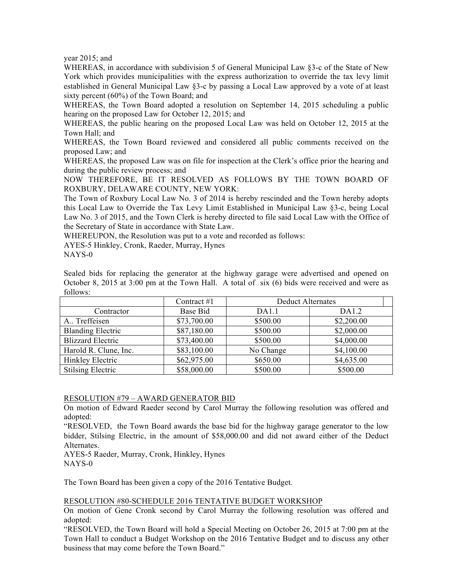year 2015; and

WHEREAS, in accordance with subdivision 5 of General Municipal Law §3-c of the State of New York which provides municipalities with the express authorization to override the tax levy limit established in General Municipal Law §3-c by passing a Local Law approved by a vote of at least sixty percent (60%) of the Town Board; and

WHEREAS, the Town Board adopted a resolution on September 14, 2015 scheduling a public hearing on the proposed Law for October 12, 2015; and

WHEREAS, the public hearing on the proposed Local Law was held on October 12, 2015 at the Town Hall; and

WHEREAS, the Town Board reviewed and considered all public comments received on the proposed Law; and

WHEREAS, the proposed Law was on file for inspection at the Clerk's office prior the hearing and during the public review process; and

NOW THEREFORE, BE IT RESOLVED AS FOLLOWS BY THE TOWN BOARD OF ROXBURY, DELAWARE COUNTY, NEW YORK:

The Town of Roxbury Local Law No. 3 of 2014 is hereby rescinded and the Town hereby adopts this Local Law to Override the Tax Levy Limit Established in Municipal Law §3-c, being Local Law No. 3 of 2015, and the Town Clerk is hereby directed to file said Local Law with the Office of the Secretary of State in accordance with State Law.

WHEREUPON, the Resolution was put to a vote and recorded as follows:

AYES-5 Hinkley, Cronk, Raeder, Murray, Hynes

NAYS-0

Sealed bids for replacing the generator at the highway garage were advertised and opened on October 8, 2015 at 3:00 pm at the Town Hall. A total of six (6) bids were received and were as follows:

|                          | Contract $#1$ | <b>Deduct Alternates</b> |            |
|--------------------------|---------------|--------------------------|------------|
| Contractor               | Base Bid      | DA1.1                    | DA1.2      |
| A., Treffeisen           | \$73,700.00   | \$500.00                 | \$2,200.00 |
| <b>Blanding Electric</b> | \$87,180.00   | \$500.00                 | \$2,000.00 |
| <b>Blizzard Electric</b> | \$73,400.00   | \$500.00                 | \$4,000.00 |
| Harold R. Clune, Inc.    | \$83,100.00   | No Change                | \$4,100.00 |
| Hinkley Electric         | \$62,975.00   | \$650.00                 | \$4,635.00 |
| <b>Stilsing Electric</b> | \$58,000.00   | \$500.00                 | \$500.00   |

## RESOLUTION #79 – AWARD GENERATOR BID

On motion of Edward Raeder second by Carol Murray the following resolution was offered and adopted:

"RESOLVED, the Town Board awards the base bid for the highway garage generator to the low bidder, Stilsing Electric, in the amount of \$58,000.00 and did not award either of the Deduct Alternates.

AYES-5 Raeder, Murray, Cronk, Hinkley, Hynes NAYS-0

The Town Board has been given a copy of the 2016 Tentative Budget.

## RESOLUTION #80-SCHEDULE 2016 TENTATIVE BUDGET WORKSHOP

On motion of Gene Cronk second by Carol Murray the following resolution was offered and adopted:

"RESOLVED, the Town Board will hold a Special Meeting on October 26, 2015 at 7:00 pm at the Town Hall to conduct a Budget Workshop on the 2016 Tentative Budget and to discuss any other business that may come before the Town Board."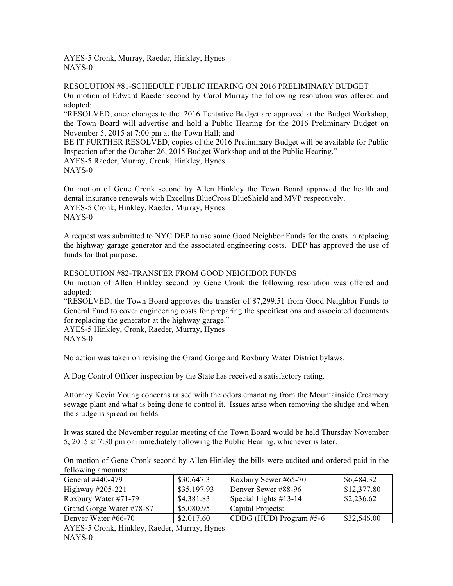AYES-5 Cronk, Murray, Raeder, Hinkley, Hynes NAYS-0

RESOLUTION #81-SCHEDULE PUBLIC HEARING ON 2016 PRELIMINARY BUDGET

On motion of Edward Raeder second by Carol Murray the following resolution was offered and adopted:

"RESOLVED, once changes to the 2016 Tentative Budget are approved at the Budget Workshop, the Town Board will advertise and hold a Public Hearing for the 2016 Preliminary Budget on November 5, 2015 at 7:00 pm at the Town Hall; and

BE IT FURTHER RESOLVED, copies of the 2016 Preliminary Budget will be available for Public Inspection after the October 26, 2015 Budget Workshop and at the Public Hearing." AYES-5 Raeder, Murray, Cronk, Hinkley, Hynes NAYS-0

On motion of Gene Cronk second by Allen Hinkley the Town Board approved the health and dental insurance renewals with Excellus BlueCross BlueShield and MVP respectively. AYES-5 Cronk, Hinkley, Raeder, Murray, Hynes NAYS-0

A request was submitted to NYC DEP to use some Good Neighbor Funds for the costs in replacing the highway garage generator and the associated engineering costs. DEP has approved the use of funds for that purpose.

RESOLUTION #82-TRANSFER FROM GOOD NEIGHBOR FUNDS

On motion of Allen Hinkley second by Gene Cronk the following resolution was offered and adopted:

"RESOLVED, the Town Board approves the transfer of \$7,299.51 from Good Neighbor Funds to General Fund to cover engineering costs for preparing the specifications and associated documents for replacing the generator at the highway garage."

AYES-5 Hinkley, Cronk, Raeder, Murray, Hynes NAYS-0

No action was taken on revising the Grand Gorge and Roxbury Water District bylaws.

A Dog Control Officer inspection by the State has received a satisfactory rating.

Attorney Kevin Young concerns raised with the odors emanating from the Mountainside Creamery sewage plant and what is being done to control it. Issues arise when removing the sludge and when the sludge is spread on fields.

It was stated the November regular meeting of the Town Board would be held Thursday November 5, 2015 at 7:30 pm or immediately following the Public Hearing, whichever is later.

On motion of Gene Cronk second by Allen Hinkley the bills were audited and ordered paid in the following amounts:

| General #440-479         | \$30,647.31 | Roxbury Sewer #65-70      | \$6,484.32  |
|--------------------------|-------------|---------------------------|-------------|
| Highway $\#205-221$      | \$35,197.93 | Denver Sewer #88-96       | \$12,377.80 |
| Roxbury Water #71-79     | \$4,381.83  | Special Lights $#13-14$   | \$2,236.62  |
| Grand Gorge Water #78-87 | \$5,080.95  | Capital Projects:         |             |
| Denver Water #66-70      | \$2,017.60  | CDBG (HUD) Program $#5-6$ | \$32,546.00 |

AYES-5 Cronk, Hinkley, Raeder, Murray, Hynes NAYS-0